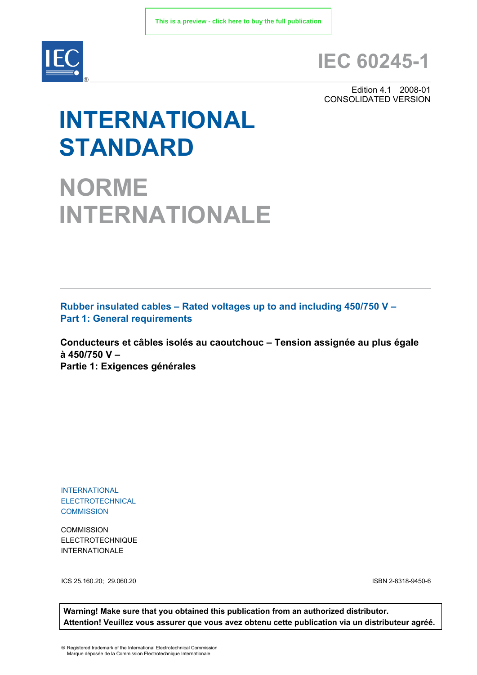

# **IEC 60245-1**

Edition 4.1 2008-01 CONSOLIDATED VERSION

# **INTERNATIONAL STANDARD**

**NORME INTERNATIONALE**

**Rubber insulated cables – Rated voltages up to and including 450/750 V – Part 1: General requirements**

**Conducteurs et câbles isolés au caoutchouc – Tension assignée au plus égale à 450/750 V – Partie 1: Exigences générales**

INTERNATIONAL ELECTROTECHNICAL **COMMISSION** 

COMMISSION ELECTROTECHNIQUE INTERNATIONALE

ICS 25.160.20; 29.060.20 ISBN 2-8318-9450-6

**Warning! Make sure that you obtained this publication from an authorized distributor. Attention! Veuillez vous assurer que vous avez obtenu cette publication via un distributeur agréé.**

® Registered trademark of the International Electrotechnical Commission Marque déposée de la Commission Electrotechnique Internationale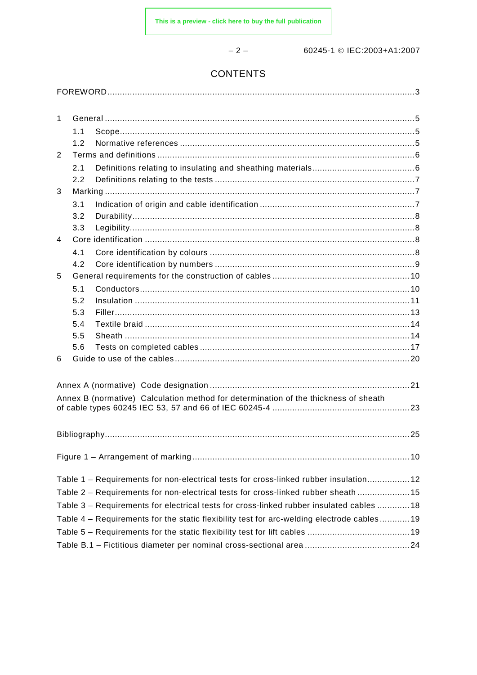$-2-$ 

60245-1 © IEC:2003+A1:2007

# **CONTENTS**

| 1                                                                                          |                                                                                          |                                                                                      |  |  |  |  |
|--------------------------------------------------------------------------------------------|------------------------------------------------------------------------------------------|--------------------------------------------------------------------------------------|--|--|--|--|
|                                                                                            | 1.1                                                                                      |                                                                                      |  |  |  |  |
|                                                                                            | 1.2                                                                                      |                                                                                      |  |  |  |  |
| $\overline{2}$                                                                             |                                                                                          |                                                                                      |  |  |  |  |
|                                                                                            | 2.1                                                                                      |                                                                                      |  |  |  |  |
|                                                                                            | 2.2                                                                                      |                                                                                      |  |  |  |  |
| 3                                                                                          |                                                                                          |                                                                                      |  |  |  |  |
|                                                                                            | 3.1                                                                                      |                                                                                      |  |  |  |  |
|                                                                                            | 3.2                                                                                      |                                                                                      |  |  |  |  |
|                                                                                            | 3.3                                                                                      |                                                                                      |  |  |  |  |
| 4                                                                                          |                                                                                          |                                                                                      |  |  |  |  |
|                                                                                            | 4.1                                                                                      |                                                                                      |  |  |  |  |
|                                                                                            | 4.2                                                                                      |                                                                                      |  |  |  |  |
| 5                                                                                          |                                                                                          |                                                                                      |  |  |  |  |
|                                                                                            | 5.1                                                                                      |                                                                                      |  |  |  |  |
|                                                                                            | 5.2                                                                                      |                                                                                      |  |  |  |  |
|                                                                                            | 5.3                                                                                      |                                                                                      |  |  |  |  |
|                                                                                            | 5.4                                                                                      |                                                                                      |  |  |  |  |
|                                                                                            | 5.5                                                                                      |                                                                                      |  |  |  |  |
|                                                                                            | 5.6                                                                                      |                                                                                      |  |  |  |  |
| 6                                                                                          |                                                                                          |                                                                                      |  |  |  |  |
|                                                                                            |                                                                                          |                                                                                      |  |  |  |  |
|                                                                                            |                                                                                          |                                                                                      |  |  |  |  |
|                                                                                            |                                                                                          | Annex B (normative) Calculation method for determination of the thickness of sheath  |  |  |  |  |
|                                                                                            |                                                                                          |                                                                                      |  |  |  |  |
|                                                                                            |                                                                                          |                                                                                      |  |  |  |  |
|                                                                                            |                                                                                          |                                                                                      |  |  |  |  |
|                                                                                            |                                                                                          |                                                                                      |  |  |  |  |
|                                                                                            |                                                                                          |                                                                                      |  |  |  |  |
|                                                                                            |                                                                                          | Table 1 – Requirements for non-electrical tests for cross-linked rubber insulation12 |  |  |  |  |
| Table 2 - Requirements for non-electrical tests for cross-linked rubber sheath  15         |                                                                                          |                                                                                      |  |  |  |  |
|                                                                                            | Table 3 – Requirements for electrical tests for cross-linked rubber insulated cables  18 |                                                                                      |  |  |  |  |
| Table 4 – Requirements for the static flexibility test for arc-welding electrode cables 19 |                                                                                          |                                                                                      |  |  |  |  |
|                                                                                            |                                                                                          |                                                                                      |  |  |  |  |
|                                                                                            |                                                                                          |                                                                                      |  |  |  |  |
|                                                                                            |                                                                                          |                                                                                      |  |  |  |  |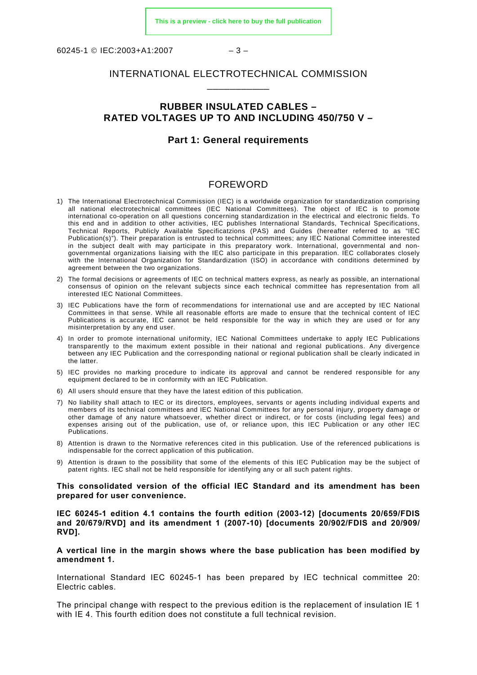60245-1 © IEC:2003+A1:2007  $-3-$ 

# INTERNATIONAL ELECTROTECHNICAL COMMISSION \_\_\_\_\_\_\_\_\_\_\_

# **RUBBER INSULATED CABLES – RATED VOLTAGES UP TO AND INCLUDING 450/750 V –**

#### **Part 1: General requirements**

# FOREWORD

- 1) The International Electrotechnical Commission (IEC) is a worldwide organization for standardization comprising all national electrotechnical committees (IEC National Committees). The object of IEC is to promote international co-operation on all questions concerning standardization in the electrical and electronic fields. To this end and in addition to other activities, IEC publishes International Standards, Technical Specifications, Technical Reports, Publicly Available Specificatzions (PAS) and Guides (hereafter referred to as "IEC Publication(s)"). Their preparation is entrusted to technical committees; any IEC National Committee interested in the subject dealt with may participate in this preparatory work. International, governmental and nongovernmental organizations liaising with the IEC also participate in this preparation. IEC collaborates closely with the International Organization for Standardization (ISO) in accordance with conditions determined by agreement between the two organizations.
- 2) The formal decisions or agreements of IEC on technical matters express, as nearly as possible, an international consensus of opinion on the relevant subjects since each technical committee has representation from all interested IEC National Committees.
- 3) IEC Publications have the form of recommendations for international use and are accepted by IEC National Committees in that sense. While all reasonable efforts are made to ensure that the technical content of IEC Publications is accurate, IEC cannot be held responsible for the way in which they are used or for any misinterpretation by any end user.
- 4) In order to promote international uniformity, IEC National Committees undertake to apply IEC Publications transparently to the maximum extent possible in their national and regional publications. Any divergence between any IEC Publication and the corresponding national or regional publication shall be clearly indicated in the latter.
- 5) IEC provides no marking procedure to indicate its approval and cannot be rendered responsible for any equipment declared to be in conformity with an IEC Publication.
- 6) All users should ensure that they have the latest edition of this publication.
- 7) No liability shall attach to IEC or its directors, employees, servants or agents including individual experts and members of its technical committees and IEC National Committees for any personal injury, property damage or other damage of any nature whatsoever, whether direct or indirect, or for costs (including legal fees) and expenses arising out of the publication, use of, or reliance upon, this IEC Publication or any other IEC Publications.
- 8) Attention is drawn to the Normative references cited in this publication. Use of the referenced publications is indispensable for the correct application of this publication.
- 9) Attention is drawn to the possibility that some of the elements of this IEC Publication may be the subject of patent rights. IEC shall not be held responsible for identifying any or all such patent rights.

#### **This consolidated version of the official IEC Standard and its amendment has been prepared for user convenience.**

#### **IEC 60245-1 edition 4.1 contains the fourth edition (2003-12) [documents 20/659/FDIS and 20/679/RVD] and its amendment 1 (2007-10) [documents 20/902/FDIS and 20/909/ RVD].**

#### **A vertical line in the margin shows where the base publication has been modified by amendment 1.**

International Standard IEC 60245-1 has been prepared by IEC technical committee 20: Electric cables.

The principal change with respect to the previous edition is the replacement of insulation IE 1 with IE 4. This fourth edition does not constitute a full technical revision.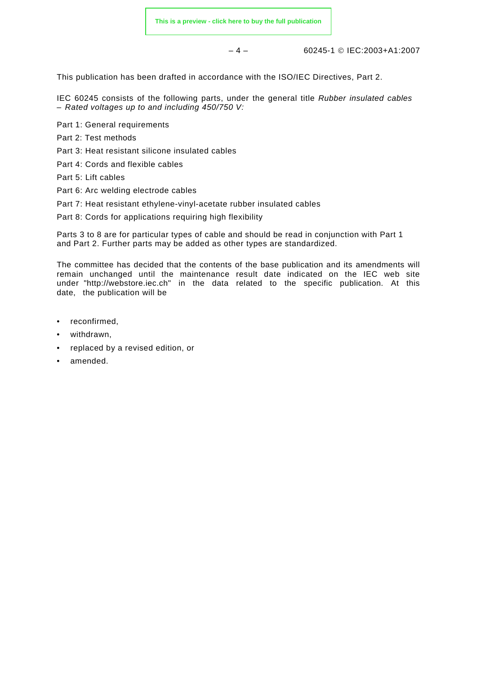– 4 – 60245-1 © IEC:2003+A1:2007

This publication has been drafted in accordance with the ISO/IEC Directives, Part 2.

IEC 60245 consists of the following parts, under the general title *Rubber insulated cables – Rated voltages up to and including 450/750 V:* 

- Part 1: General requirements
- Part 2: Test methods
- Part 3: Heat resistant silicone insulated cables
- Part 4: Cords and flexible cables
- Part 5: Lift cables
- Part 6: Arc welding electrode cables
- Part 7: Heat resistant ethylene-vinyl-acetate rubber insulated cables
- Part 8: Cords for applications requiring high flexibility

Parts 3 to 8 are for particular types of cable and should be read in conjunction with Part 1 and Part 2. Further parts may be added as other types are standardized.

The committee has decided that the contents of the base publication and its amendments will remain unchanged until the maintenance result date indicated on the IEC web site under "http://webstore.iec.ch" in the data related to the specific publication. At this date, the publication will be

- reconfirmed,
- withdrawn.
- replaced by a revised edition, or
- amended.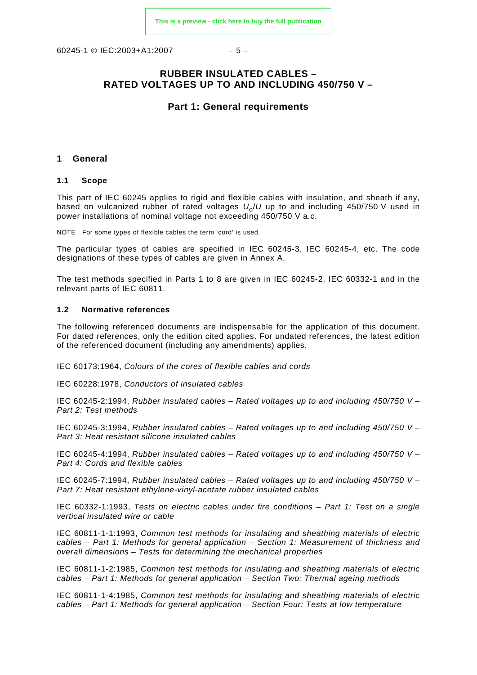<span id="page-4-0"></span>60245-1 © IEC:2003+A1:2007 – 5 –

# **RUBBER INSULATED CABLES – RATED VOLTAGES UP TO AND INCLUDING 450/750 V –**

## **Part 1: General requirements**

#### **1 General**

#### **1.1 Scope**

This part of IEC 60245 applies to rigid and flexible cables with insulation, and sheath if any, based on vulcanized rubber of rated voltages  $U_0/U$  up to and including 450/750 V used in power installations of nominal voltage not exceeding 450/750 V a.c.

NOTE For some types of flexible cables the term 'cord' is used.

The particular types of cables are specified in IEC 60245-3, IEC 60245-4, etc. The code designations of these types of cables are given in Annex A.

The test methods specified in Parts 1 to 8 are given in IEC 60245-2, IEC 60332-1 and in the relevant parts of IEC 60811.

#### **1.2 Normative references**

The following referenced documents are indispensable for the application of this document. For dated references, only the edition cited applies. For undated references, the latest edition of the referenced document (including any amendments) applies.

IEC 60173:1964, *Colours of the cores of flexible cables and cords*

IEC 60228:1978, *Conductors of insulated cables*

IEC 60245-2:1994, *Rubber insulated cables – Rated voltages up to and including 450/750 V – Part 2: Test methods* 

IEC 60245-3:1994, *Rubber insulated cables – Rated voltages up to and including 450/750 V – Part 3: Heat resistant silicone insulated cables* 

IEC 60245-4:1994, *Rubber insulated cables – Rated voltages up to and including 450/750 V – Part 4: Cords and flexible cables* 

IEC 60245-7:1994, *Rubber insulated cables – Rated voltages up to and including 450/750 V – Part 7: Heat resistant ethylene-vinyl-acetate rubber insulated cables* 

IEC 60332-1:1993, *Tests on electric cables under fire conditions – Part 1: Test on a single vertical insulated wire or cable* 

IEC 60811-1-1:1993, *Common test methods for insulating and sheathing materials of electric cables – Part 1: Methods for general application – Section 1: Measurement of thickness and overall dimensions – Tests for determining the mechanical properties* 

IEC 60811-1-2:1985, *Common test methods for insulating and sheathing materials of electric cables – Part 1: Methods for general application – Section Two: Thermal ageing methods* 

IEC 60811-1-4:1985, *Common test methods for insulating and sheathing materials of electric cables – Part 1: Methods for general application – Section Four: Tests at low temperature*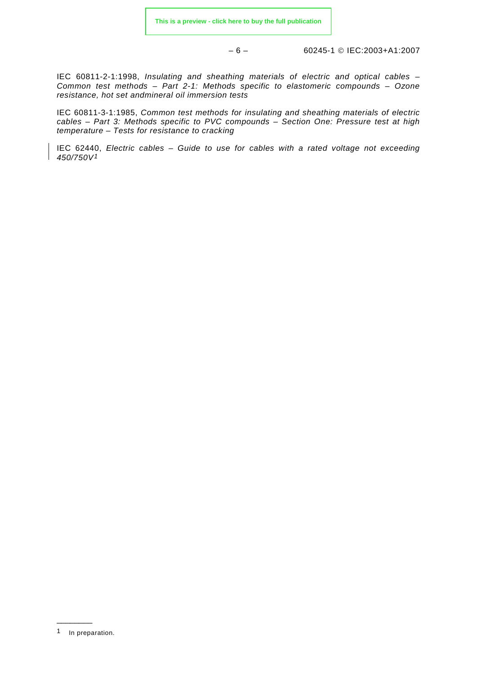– 6 – 60245-1 © IEC:2003+A1:2007

<span id="page-5-0"></span>IEC 60811-2-1:1998, *Insulating and sheathing materials of electric and optical cables – Common test methods – Part 2-1: Methods specific to elastomeric compounds – Ozone resistance, hot set andmineral oil immersion tests* 

IEC 60811-3-1:1985, *Common test methods for insulating and sheathing materials of electric cables – Part 3: Methods specific to PVC compounds – Section One: Pressure test at high temperature – Tests for resistance to cracking* 

IEC 62440, *Electric cables – Guide to use for cables with a rated voltage not exceeding 450/750V[1](#page-5-1)* 

\_\_\_\_\_\_\_\_

<span id="page-5-1"></span><sup>1</sup> In preparation.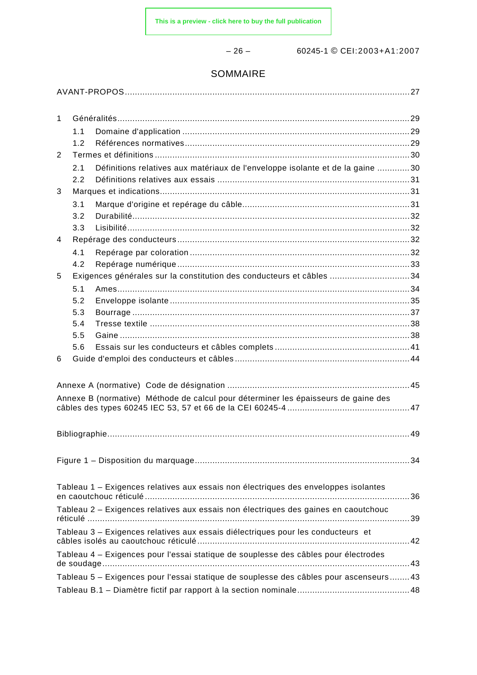– 26 – 60245-1 © CEI:2003+A1:2007

# SOMMAIRE

| AVANT-PROPOS |  |
|--------------|--|
|              |  |

| 1                                                                                      |     |                                                                                     |  |  |
|----------------------------------------------------------------------------------------|-----|-------------------------------------------------------------------------------------|--|--|
|                                                                                        | 1.1 |                                                                                     |  |  |
|                                                                                        | 1.2 |                                                                                     |  |  |
| 2                                                                                      |     |                                                                                     |  |  |
|                                                                                        | 2.1 | Définitions relatives aux matériaux de l'enveloppe isolante et de la gaine 30       |  |  |
|                                                                                        | 2.2 |                                                                                     |  |  |
| 3                                                                                      |     |                                                                                     |  |  |
|                                                                                        | 3.1 |                                                                                     |  |  |
|                                                                                        | 3.2 |                                                                                     |  |  |
|                                                                                        | 3.3 |                                                                                     |  |  |
| 4                                                                                      |     |                                                                                     |  |  |
|                                                                                        | 4.1 |                                                                                     |  |  |
|                                                                                        | 4.2 |                                                                                     |  |  |
| 5                                                                                      |     | Exigences générales sur la constitution des conducteurs et câbles 34                |  |  |
|                                                                                        | 5.1 |                                                                                     |  |  |
|                                                                                        | 5.2 |                                                                                     |  |  |
|                                                                                        | 5.3 |                                                                                     |  |  |
|                                                                                        | 5.4 |                                                                                     |  |  |
|                                                                                        | 5.5 |                                                                                     |  |  |
|                                                                                        | 5.6 |                                                                                     |  |  |
| 6                                                                                      |     |                                                                                     |  |  |
|                                                                                        |     |                                                                                     |  |  |
|                                                                                        |     |                                                                                     |  |  |
|                                                                                        |     | Annexe B (normative) Méthode de calcul pour déterminer les épaisseurs de gaine des  |  |  |
|                                                                                        |     |                                                                                     |  |  |
|                                                                                        |     |                                                                                     |  |  |
|                                                                                        |     |                                                                                     |  |  |
|                                                                                        |     |                                                                                     |  |  |
|                                                                                        |     |                                                                                     |  |  |
|                                                                                        |     |                                                                                     |  |  |
|                                                                                        |     | Tableau 1 - Exigences relatives aux essais non électriques des enveloppes isolantes |  |  |
|                                                                                        |     |                                                                                     |  |  |
|                                                                                        |     | Tableau 2 - Exigences relatives aux essais non électriques des gaines en caoutchouc |  |  |
|                                                                                        |     |                                                                                     |  |  |
|                                                                                        |     | Tableau 3 - Exigences relatives aux essais diélectriques pour les conducteurs et    |  |  |
|                                                                                        |     |                                                                                     |  |  |
|                                                                                        |     | Tableau 4 - Exigences pour l'essai statique de souplesse des câbles pour électrodes |  |  |
|                                                                                        |     |                                                                                     |  |  |
| Tableau 5 - Exigences pour l'essai statique de souplesse des câbles pour ascenseurs 43 |     |                                                                                     |  |  |
|                                                                                        |     |                                                                                     |  |  |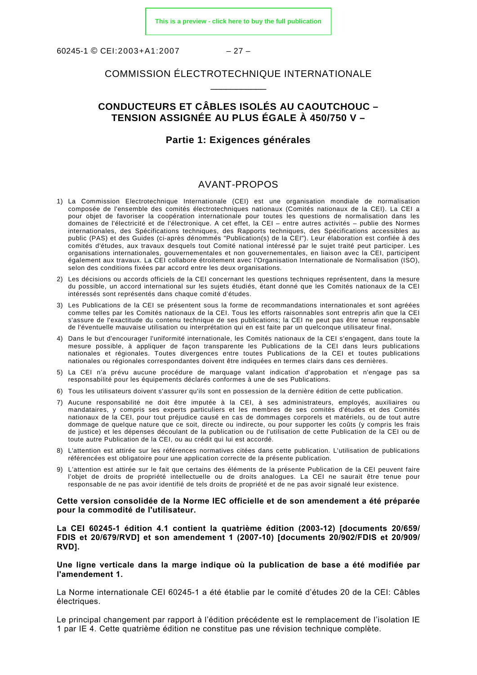$60245 - 1$  © CEI:2003+A1:2007 – 27 –

# COMMISSION ÉLECTROTECHNIQUE INTERNATIONALE \_\_\_\_\_\_\_\_\_\_\_

# **CONDUCTEURS ET CÂBLES ISOLÉS AU CAOUTCHOUC – TENSION ASSIGNÉE AU PLUS ÉGALE À 450/750 V –**

### **Partie 1: Exigences générales**

## AVANT-PROPOS

- 1) La Commission Electrotechnique Internationale (CEI) est une organisation mondiale de normalisation composée de l'ensemble des comités électrotechniques nationaux (Comités nationaux de la CEI). La CEI a pour objet de favoriser la coopération internationale pour toutes les questions de normalisation dans les domaines de l'électricité et de l'électronique. A cet effet, la CEI – entre autres activités – publie des Normes internationales, des Spécifications techniques, des Rapports techniques, des Spécifications accessibles au public (PAS) et des Guides (ci-après dénommés "Publication(s) de la CEI"). Leur élaboration est confiée à des comités d'études, aux travaux desquels tout Comité national intéressé par le sujet traité peut participer. Les organisations internationales, gouvernementales et non gouvernementales, en liaison avec la CEI, participent également aux travaux. La CEI collabore étroitement avec l'Organisation Internationale de Normalisation (ISO), selon des conditions fixées par accord entre les deux organisations.
- 2) Les décisions ou accords officiels de la CEI concernant les questions techniques représentent, dans la mesure du possible, un accord international sur les sujets étudiés, étant donné que les Comités nationaux de la CEI intéressés sont représentés dans chaque comité d'études.
- 3) Les Publications de la CEI se présentent sous la forme de recommandations internationales et sont agréées comme telles par les Comités nationaux de la CEI. Tous les efforts raisonnables sont entrepris afin que la CEI s'assure de l'exactitude du contenu technique de ses publications; la CEI ne peut pas être tenue responsable de l'éventuelle mauvaise utilisation ou interprétation qui en est faite par un quelconque utilisateur final.
- 4) Dans le but d'encourager l'uniformité internationale, les Comités nationaux de la CEI s'engagent, dans toute la mesure possible, à appliquer de façon transparente les Publications de la CEI dans leurs publications nationales et régionales. Toutes divergences entre toutes Publications de la CEI et toutes publications nationales ou régionales correspondantes doivent être indiquées en termes clairs dans ces dernières.
- 5) La CEI n'a prévu aucune procédure de marquage valant indication d'approbation et n'engage pas sa responsabilité pour les équipements déclarés conformes à une de ses Publications.
- 6) Tous les utilisateurs doivent s'assurer qu'ils sont en possession de la dernière édition de cette publication.
- 7) Aucune responsabilité ne doit être imputée à la CEI, à ses administrateurs, employés, auxiliaires ou mandataires, y compris ses experts particuliers et les membres de ses comités d'études et des Comités nationaux de la CEI, pour tout préjudice causé en cas de dommages corporels et matériels, ou de tout autre dommage de quelque nature que ce soit, directe ou indirecte, ou pour supporter les coûts (y compris les frais de justice) et les dépenses découlant de la publication ou de l'utilisation de cette Publication de la CEI ou de toute autre Publication de la CEI, ou au crédit qui lui est accordé.
- 8) L'attention est attirée sur les références normatives citées dans cette publication. L'utilisation de publications référencées est obligatoire pour une application correcte de la présente publication.
- 9) L'attention est attirée sur le fait que certains des éléments de la présente Publication de la CEI peuvent faire l'objet de droits de propriété intellectuelle ou de droits analogues. La CEI ne saurait être tenue pour responsable de ne pas avoir identifié de tels droits de propriété et de ne pas avoir signalé leur existence.

#### **Cette version consolidée de la Norme IEC officielle et de son amendement a été préparée pour la commodité de l'utilisateur.**

**La CEI 60245-1 édition 4.1 contient la quatrième édition (2003-12) [documents 20/659/ FDIS et 20/679/RVD] et son amendement 1 (2007-10) [documents 20/902/FDIS et 20/909/ RVD].**

**Une ligne verticale dans la marge indique où la publication de base a été modifiée par l'amendement 1.**

La Norme internationale CEI 60245-1 a été établie par le comité d'études 20 de la CEI: Câbles électriques.

Le principal changement par rapport à l'édition précédente est le remplacement de l'isolation IE 1 par IE 4. Cette quatrième édition ne constitue pas une révision technique complète.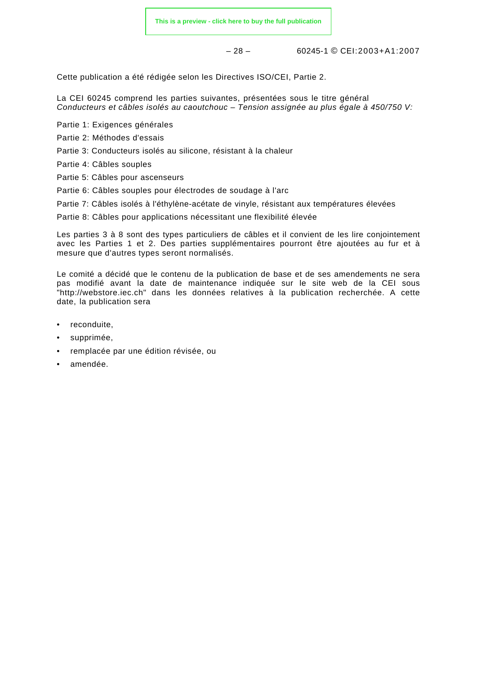$$
-28-
$$

– 28 – 60245-1 © CEI:2003+A1:2007

Cette publication a été rédigée selon les Directives ISO/CEI, Partie 2.

La CEI 60245 comprend les parties suivantes, présentées sous le titre général *Conducteurs et câbles isolés au caoutchouc – Tension assignée au plus égale à 450/750 V:* 

- Partie 1: Exigences générales
- Partie 2: Méthodes d'essais
- Partie 3: Conducteurs isolés au silicone, résistant à la chaleur
- Partie 4: Câbles souples
- Partie 5: Câbles pour ascenseurs
- Partie 6: Câbles souples pour électrodes de soudage à l'arc
- Partie 7: Câbles isolés à l'éthylène-acétate de vinyle, résistant aux températures élevées
- Partie 8: Câbles pour applications nécessitant une flexibilité élevée

Les parties 3 à 8 sont des types particuliers de câbles et il convient de les lire conjointement avec les Parties 1 et 2. Des parties supplémentaires pourront être ajoutées au fur et à mesure que d'autres types seront normalisés.

Le comité a décidé que le contenu de la publication de base et de ses amendements ne sera pas modifié avant la date de maintenance indiquée sur le site web de la CEI sous "http://webstore.iec.ch" dans les données relatives à la publication recherchée. A cette date, la publication sera

- reconduite,
- supprimée,
- remplacée par une édition révisée, ou
- amendée.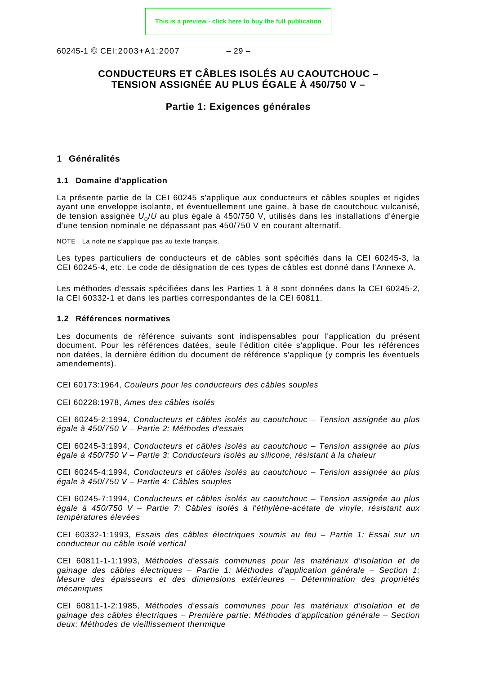<span id="page-9-0"></span> $60245 - 1$  © CEI:2003+A1:2007 – 29 –

# **CONDUCTEURS ET CÂBLES ISOLÉS AU CAOUTCHOUC – TENSION ASSIGNÉE AU PLUS ÉGALE À 450/750 V –**

#### **Partie 1: Exigences générales**

#### **1 Généralités**

#### **1.1 Domaine d'application**

La présente partie de la CEI 60245 s'applique aux conducteurs et câbles souples et rigides ayant une enveloppe isolante, et éventuellement une gaine, à base de caoutchouc vulcanisé, de tension assignée *U*o/*U* au plus égale à 450/750 V, utilisés dans les installations d'énergie d'une tension nominale ne dépassant pas 450/750 V en courant alternatif.

NOTE La note ne s'applique pas au texte français.

Les types particuliers de conducteurs et de câbles sont spécifiés dans la CEI 60245-3, la CEI 60245-4, etc. Le code de désignation de ces types de câbles est donné dans l'Annexe A.

Les méthodes d'essais spécifiées dans les Parties 1 à 8 sont données dans la CEI 60245-2, la CEI 60332-1 et dans les parties correspondantes de la CEI 60811.

#### **1.2 Références normatives**

Les documents de référence suivants sont indispensables pour l'application du présent document. Pour les références datées, seule l'édition citée s'applique. Pour les références non datées, la dernière édition du document de référence s'applique (y compris les éventuels amendements).

CEI 60173:1964, *Couleurs pour les conducteurs des câbles souples* 

CEI 60228:1978, *Ames des câbles isolés* 

CEI 60245-2:1994, *Conducteurs et câbles isolés au caoutchouc – Tension assignée au plus égale à 450/750 V – Partie 2: Méthodes d'essais* 

CEI 60245-3:1994, *Conducteurs et câbles isolés au caoutchouc – Tension assignée au plus égale à 450/750 V – Partie 3: Conducteurs isolés au silicone, résistant à la chaleur* 

CEI 60245-4:1994, *Conducteurs et câbles isolés au caoutchouc – Tension assignée au plus égale à 450/750 V – Partie 4: Câbles souples* 

CEI 60245-7:1994, *Conducteurs et câbles isolés au caoutchouc – Tension assignée au plus égale à 450/750 V – Partie 7: Câbles isolés à l'éthylène-acétate de vinyle, résistant aux températures élevées* 

CEI 60332-1:1993, *Essais des câbles électriques soumis au feu – Partie 1: Essai sur un conducteur ou câble isolé vertical* 

CEI 60811-1-1:1993, *Méthodes d'essais communes pour les matériaux d'isolation et de gainage des câbles électriques – Partie 1: Méthodes d'application générale – Section 1: Mesure des épaisseurs et des dimensions extérieures – Détermination des propriétés mécaniques* 

CEI 60811-1-2:1985, *Méthodes d'essais communes pour les matériaux d'isolation et de gainage des câbles électriques – Première partie: Méthodes d'application générale – Section deux: Méthodes de vieillissement thermique*